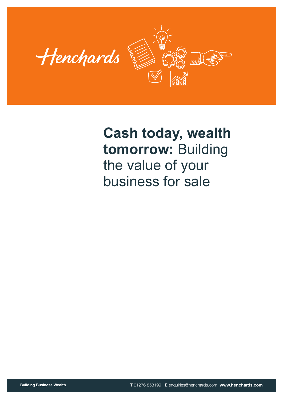

**Building Business Wealth**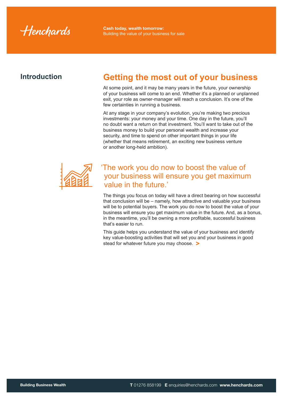Henchards

## **Introduction**

# **Getting the most out of your business**

At some point, and it may be many years in the future, your ownership of your business will come to an end. Whether it's a planned or unplanned exit, your role as owner-manager will reach a conclusion. It's one of the few certainties in running a business.

At any stage in your company's evolution, you're making two precious investments: your money and your time. One day in the future, you'll no doubt want a return on that investment. You'll want to take out of the business money to build your personal wealth and increase your security, and time to spend on other important things in your life (whether that means retirement, an exciting new business venture or another long-held ambition).



## 'The work you do now to boost the value of your business will ensure you get maximum value in the future.'

The things you focus on today will have a direct bearing on how successful that conclusion will be – namely, how attractive and valuable your business will be to potential buyers. The work you do now to boost the value of your business will ensure you get maximum value in the future. And, as a bonus, in the meantime, you'll be owning a more profitable, successful business that's easier to run.

This guide helps you understand the value of your business and identify key value-boosting activities that will set you and your business in good stead for whatever future you may choose. **>**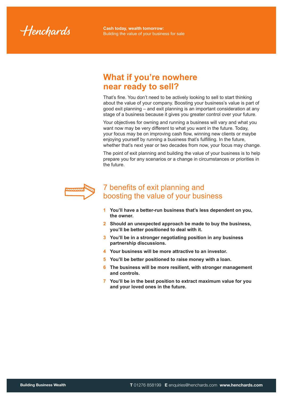Henchards

# **What if you're nowhere near ready to sell?**

That's fine. You don't need to be actively looking to sell to start thinking about the value of your company. Boosting your business's value is part of good exit planning – and exit planning is an important consideration at any stage of a business because it gives you greater control over your future.

Your objectives for owning and running a business will vary and what you want now may be very different to what you want in the future. Today, your focus may be on improving cash flow, winning new clients or maybe enjoying yourself by running a business that's fulfilling. In the future, whether that's next year or two decades from now, your focus may change.

The point of exit planning and building the value of your business is to help prepare you for any scenarios or a change in circumstances or priorities in the future.



## 7 benefits of exit planning and boosting the value of your business

- **1 You'll have a better-run business that's less dependent on you, the owner.**
- **2 Should an unexpected approach be made to buy the business, you'll be better positioned to deal with it.**
- **3 You'll be in a stronger negotiating position in any business partnership discussions.**
- **4 Your business will be more attractive to an investor.**
- **5 You'll be better positioned to raise money with a loan.**
- **6 The business will be more resilient, with stronger management and controls.**
- **7 You'll be in the best position to extract maximum value for you and your loved ones in the future.**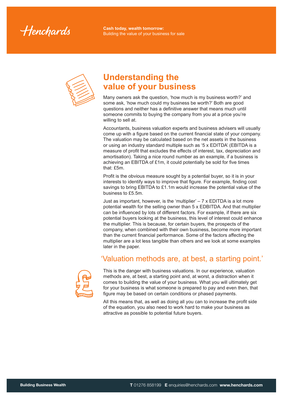Henchards



# **Understanding the value of your business**

Many owners ask the question, 'how much is my business worth?' and some ask, 'how much could my business be worth?' Both are good questions and neither has a definitive answer that means much until someone commits to buying the company from you at a price you're willing to sell at.

Accountants, business valuation experts and business advisers will usually come up with a figure based on the current financial state of your company. The valuation may be calculated based on the net assets in the business or using an industry standard multiple such as '5 x EDITDA' (EBITDA is a measure of profit that excludes the effects of interest, tax, depreciation and amortisation). Taking a nice round number as an example, if a business is achieving an EBITDA of £1m, it could potentially be sold for five times that: £5m.

Profit is the obvious measure sought by a potential buyer, so it is in your interests to identify ways to improve that figure. For example, finding cost savings to bring EBITDA to £1.1m would increase the potential value of the business to £5.5m.

Just as important, however, is the 'multiplier'  $-7 \times$  EDITDA is a lot more potential wealth for the selling owner than 5 x EDBITDA. And that multiplier can be influenced by lots of different factors. For example, if there are six potential buyers looking at the business, this level of interest could enhance the multiplier. This is because, for certain buyers, the prospects of the company, when combined with their own business, become more important than the current financial performance. Some of the factors affecting the multiplier are a lot less tangible than others and we look at some examples later in the paper.

## 'Valuation methods are, at best, a starting point.'



This is the danger with business valuations. In our experience, valuation methods are, at best, a starting point and, at worst, a distraction when it comes to building the value of your business. What you will ultimately get for your business is what someone is prepared to pay and even then, that figure may be based on certain conditions or phased payments.

All this means that, as well as doing all you can to increase the profit side of the equation, you also need to work hard to make your business as attractive as possible to potential future buyers.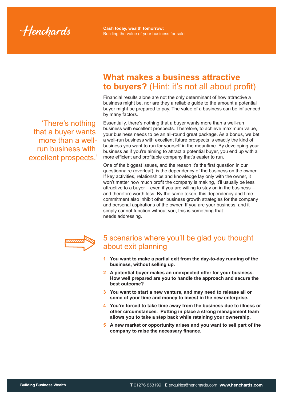Henchards

'There's nothing that a buyer wants more than a wellrun business with excellent prospects.'

# **What makes a business attractive to buyers?** (Hint: it's not all about profit)

Financial results alone are not the only determinant of how attractive a business might be, nor are they a reliable guide to the amount a potential buyer might be prepared to pay. The value of a business can be influenced by many factors.

Essentially, there's nothing that a buyer wants more than a well-run business with excellent prospects. Therefore, to achieve maximum value, your business needs to be an all-round great package. As a bonus, we bet a well-run business with excellent future prospects is exactly the kind of business you want to run for yourself in the meantime. By developing your business as if you're aiming to attract a potential buyer, you end up with a more efficient and profitable company that's easier to run.

One of the biggest issues, and the reason it's the first question in our questionnaire (overleaf), is the dependency of the business on the owner. If key activities, relationships and knowledge lay only with the owner, it won't matter how much profit the company is making, it'll usually be less attractive to a buyer – even if you are willing to stay on in the business – and therefore worth less. By the same token, this dependency and time commitment also inhibit other business growth strategies for the company and personal aspirations of the owner. If you are your business, and it simply cannot function without you, this is something that needs addressing.



## 5 scenarios where you'll be glad you thought about exit planning

- **1 You want to make a partial exit from the day-to-day running of the business, without selling up.**
- **2 A potential buyer makes an unexpected offer for your business. How well prepared are you to handle the approach and secure the best outcome?**
- **3 You want to start a new venture, and may need to release all or some of your time and money to invest in the new enterprise.**
- **4 You're forced to take time away from the business due to illness or other circumstances. Putting in place a strong management team allows you to take a step back while retaining your ownership.**
- **5 A new market or opportunity arises and you want to sell part of the company to raise the necessary finance.**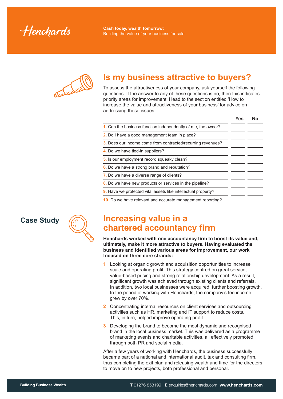Henchards

# **Is my business attractive to buyers?**

To assess the attractiveness of your company, ask yourself the following questions. If the answer to any of these questions is no, then this indicates priority areas for improvement. Head to the section entitled 'How to increase the value and attractiveness of your business' for advice on addressing these issues.

|                                                                      | Yes | <b>No</b> |
|----------------------------------------------------------------------|-----|-----------|
| 1. Can the business function independently of me, the owner?         |     |           |
| 2. Do I have a good management team in place?                        |     |           |
| 3. Does our income come from contracted/recurring revenues?          |     |           |
| 4. Do we have tied-in suppliers?                                     |     |           |
| 5. Is our employment record squeaky clean?                           |     |           |
| 6. Do we have a strong brand and reputation?                         |     |           |
| 7. Do we have a diverse range of clients?                            |     |           |
| 8. Do we have new products or services in the pipeline?              |     |           |
| <b>9.</b> Have we protected vital assets like intellectual property? |     |           |
| 10. Do we have relevant and accurate management reporting?           |     |           |
|                                                                      |     |           |

## **Case Study**



# **Increasing value in a chartered accountancy firm**

**Henchards worked with one accountancy firm to boost its value and, ultimately, make it more attractive to buyers. Having evaluated the business and identified various areas for improvement, our work focused on three core strands:**

- **1** Looking at organic growth and acquisition opportunities to increase scale and operating profit. This strategy centred on great service, value-based pricing and strong relationship development. As a result, significant growth was achieved through existing clients and referrals. In addition, two local businesses were acquired, further boosting growth. In the period of working with Henchards, the company's fee income grew by over 70%.
- **2** Concentrating internal resources on client services and outsourcing activities such as HR, marketing and IT support to reduce costs. This, in turn, helped improve operating profit.
- **3** Developing the brand to become the most dynamic and recognised brand in the local business market. This was delivered as a programme of marketing events and charitable activities, all effectively promoted through both PR and social media.

After a few years of working with Henchards, the business successfully became part of a national and international audit, tax and consulting firm, thus completing the exit plan and releasing wealth and time for the directors to move on to new projects, both professional and personal.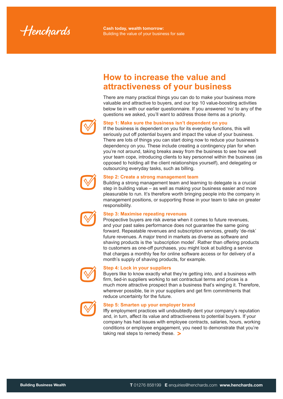Henchards

# **How to increase the value and attractiveness of your business**

There are many practical things you can do to make your business more valuable and attractive to buyers, and our top 10 value-boosting activities below tie in with our earlier questionnaire. If you answered 'no' to any of the questions we asked, you'll want to address those items as a priority.



### **Step 1: Make sure the business isn't dependent on you**

If the business is dependent on you for its everyday functions, this will seriously put off potential buyers and impact the value of your business. There are lots of things you can start doing now to reduce your business's dependency on you. These include creating a contingency plan for when you're not around, taking breaks away from the business to see how well your team cope, introducing clients to key personnel within the business (as opposed to holding all the client relationships yourself), and delegating or outsourcing everyday tasks, such as billing.



### **Step 2: Create a strong management team**

Building a strong management team and learning to delegate is a crucial step in building value – as well as making your business easier and more pleasurable to run. It's therefore worth bringing people into the company in management positions, or supporting those in your team to take on greater responsibility.



### **Step 3: Maximise repeating revenues**

Prospective buyers are risk averse when it comes to future revenues, and your past sales performance does not guarantee the same going forward. Repeatable revenues and subscription services, greatly 'de-risk' future revenues. A major trend in markets as diverse as software and shaving products is the 'subscription model'. Rather than offering products to customers as one-off purchases, you might look at building a service that charges a monthly fee for online software access or for delivery of a month's supply of shaving products, for example.



### **Step 4: Lock in your suppliers**

Buyers like to know exactly what they're getting into, and a business with firm, tied-in suppliers working to set contractual terms and prices is a much more attractive prospect than a business that's winging it. Therefore, wherever possible, tie in your suppliers and get firm commitments that reduce uncertainty for the future.



#### **Step 5: Smarten up your employer brand**

Iffy employment practices will undoubtedly dent your company's reputation and, in turn, affect its value and attractiveness to potential buyers. If your company has had issues with employee contracts, salaries, hours, working conditions or employee engagement, you need to demonstrate that you're taking real steps to remedy these. **>**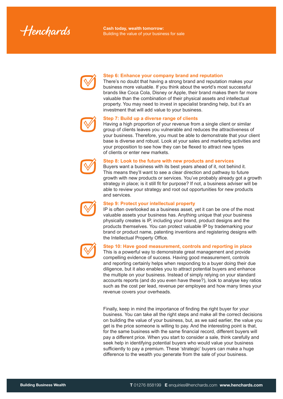Henchards



### **Step 6: Enhance your company brand and reputation**

There's no doubt that having a strong brand and reputation makes your business more valuable. If you think about the world's most successful brands like Coca Cola, Disney or Apple, their brand makes them far more valuable than the combination of their physical assets and intellectual property. You may need to invest in specialist branding help, but it's an investment that will add value to your business.



### **Step 7: Build up a diverse range of clients**

Having a high proportion of your revenue from a single client or similar group of clients leaves you vulnerable and reduces the attractiveness of your business. Therefore, you must be able to demonstrate that your client base is diverse and robust. Look at your sales and marketing activities and your proposition to see how they can be flexed to attract new types of clients or enter new markets.



### **Step 8: Look to the future with new products and services**

Buyers want a business with its best years ahead of it, not behind it. This means they'll want to see a clear direction and pathway to future growth with new products or services. You've probably already got a growth strategy in place; is it still fit for purpose? If not, a business adviser will be able to review your strategy and root out opportunities for new products and services.



### **Step 9: Protect your intellectual property**

IP is often overlooked as a business asset, yet it can be one of the most valuable assets your business has. Anything unique that your business physically creates is IP, including your brand, product designs and the products themselves. You can protect valuable IP by trademarking your brand or product name, patenting inventions and registering designs with the Intellectual Property Office.



### **Step 10: Have good measurement, controls and reporting in place**

This is a powerful way to demonstrate great management and provide compelling evidence of success. Having good measurement, controls and reporting certainly helps when responding to a buyer doing their due diligence, but it also enables you to attract potential buyers and enhance the multiple on your business. Instead of simply relying on your standard accounts reports (and do you even have these?), look to analyse key ratios such as the cost per lead, revenue per employee and how many times your revenue covers your overheads.

Finally, keep in mind the importance of finding the right buyer for your business. You can take all the right steps and make all the correct decisions on building the value of your business, but, as we said earlier, the value you get is the price someone is willing to pay. And the interesting point is that, for the same business with the same financial record, different buyers will pay a different price. When you start to consider a sale, think carefully and seek help in identifying potential buyers who would value your business sufficiently to pay a premium. These 'strategic' buyers can make a huge difference to the wealth you generate from the sale of your business.